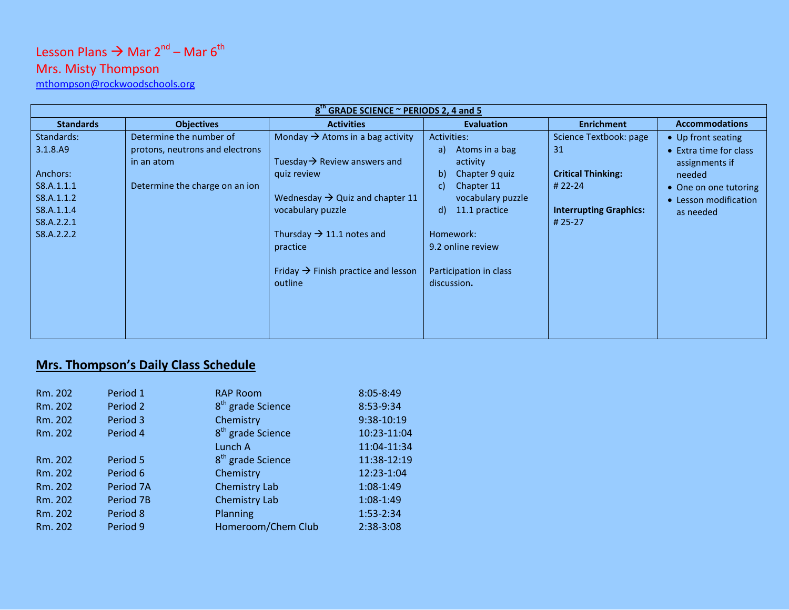# Lesson Plans  $\rightarrow$  Mar 2<sup>nd</sup> – Mar 6<sup>th</sup>

## Mrs. Misty Thompson

[mthompson@rockwoodschools.org](mailto:mthompson@rockwoodschools.org)

| 8 <sup>th</sup> GRADE SCIENCE ~ PERIODS 2, 4 and 5 |                                 |                                                 |                        |                               |                        |  |  |
|----------------------------------------------------|---------------------------------|-------------------------------------------------|------------------------|-------------------------------|------------------------|--|--|
| <b>Standards</b>                                   | <b>Objectives</b>               | <b>Activities</b>                               | <b>Evaluation</b>      | <b>Enrichment</b>             | <b>Accommodations</b>  |  |  |
| Standards:                                         | Determine the number of         | Monday $\rightarrow$ Atoms in a bag activity    | Activities:            | Science Textbook: page        | • Up front seating     |  |  |
| 3.1.8.A9                                           | protons, neutrons and electrons |                                                 | Atoms in a bag<br>a)   | 31                            | • Extra time for class |  |  |
|                                                    | in an atom                      | Tuesday $\rightarrow$ Review answers and        | activity               |                               | assignments if         |  |  |
| Anchors:                                           |                                 | quiz review                                     | b)<br>Chapter 9 quiz   | <b>Critical Thinking:</b>     | needed                 |  |  |
| S8.A.1.1.1                                         | Determine the charge on an ion  |                                                 | Chapter 11<br>C)       | # 22-24                       | • One on one tutoring  |  |  |
| S8.A.1.1.2                                         |                                 | Wednesday $\rightarrow$ Quiz and chapter 11     | vocabulary puzzle      |                               | • Lesson modification  |  |  |
| S8.A.1.1.4                                         |                                 | vocabulary puzzle                               | 11.1 practice<br>d)    | <b>Interrupting Graphics:</b> | as needed              |  |  |
| S8.A.2.2.1                                         |                                 |                                                 |                        | # 25-27                       |                        |  |  |
| S8.A.2.2.2                                         |                                 | Thursday $\rightarrow$ 11.1 notes and           | Homework:              |                               |                        |  |  |
|                                                    |                                 | practice                                        | 9.2 online review      |                               |                        |  |  |
|                                                    |                                 |                                                 |                        |                               |                        |  |  |
|                                                    |                                 | Friday $\rightarrow$ Finish practice and lesson | Participation in class |                               |                        |  |  |
|                                                    |                                 | outline                                         | discussion.            |                               |                        |  |  |
|                                                    |                                 |                                                 |                        |                               |                        |  |  |
|                                                    |                                 |                                                 |                        |                               |                        |  |  |
|                                                    |                                 |                                                 |                        |                               |                        |  |  |
|                                                    |                                 |                                                 |                        |                               |                        |  |  |

### **Mrs. Thompson's Daily Class Schedule**

| Rm. 202 | Period 1  | <b>RAP Room</b>               | $8:05 - 8:49$ |
|---------|-----------|-------------------------------|---------------|
| Rm. 202 | Period 2  | 8 <sup>th</sup> grade Science | 8:53-9:34     |
| Rm. 202 | Period 3  | Chemistry                     | 9:38-10:19    |
| Rm. 202 | Period 4  | 8 <sup>th</sup> grade Science | 10:23-11:04   |
|         |           | Lunch A                       | 11:04-11:34   |
| Rm. 202 | Period 5  | 8 <sup>th</sup> grade Science | 11:38-12:19   |
| Rm. 202 | Period 6  | Chemistry                     | 12:23-1:04    |
| Rm. 202 | Period 7A | Chemistry Lab                 | 1:08-1:49     |
| Rm. 202 | Period 7B | <b>Chemistry Lab</b>          | 1:08-1:49     |
| Rm. 202 | Period 8  | Planning                      | 1:53-2:34     |
| Rm. 202 | Period 9  | Homeroom/Chem Club            | 2:38-3:08     |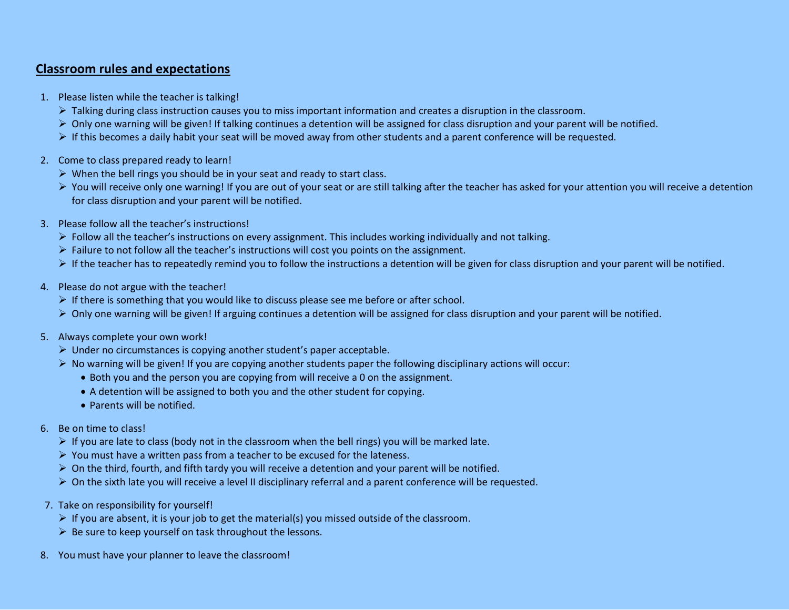#### **Classroom rules and expectations**

- 1. Please listen while the teacher is talking!
	- $\triangleright$  Talking during class instruction causes you to miss important information and creates a disruption in the classroom.
	- $\triangleright$  Only one warning will be given! If talking continues a detention will be assigned for class disruption and your parent will be notified.
	- $\triangleright$  If this becomes a daily habit your seat will be moved away from other students and a parent conference will be requested.
- 2. Come to class prepared ready to learn!
	- $\triangleright$  When the bell rings you should be in your seat and ready to start class.
	- ▶ You will receive only one warning! If you are out of your seat or are still talking after the teacher has asked for your attention you will receive a detention for class disruption and your parent will be notified.
- 3. Please follow all the teacher's instructions!
	- $\triangleright$  Follow all the teacher's instructions on every assignment. This includes working individually and not talking.
	- $\triangleright$  Failure to not follow all the teacher's instructions will cost you points on the assignment.
	- If the teacher has to repeatedly remind you to follow the instructions a detention will be given for class disruption and your parent will be notified.
- 4. Please do not argue with the teacher!
	- $\triangleright$  If there is something that you would like to discuss please see me before or after school.
	- $\triangleright$  Only one warning will be given! If arguing continues a detention will be assigned for class disruption and your parent will be notified.
- 5. Always complete your own work!
	- $\triangleright$  Under no circumstances is copying another student's paper acceptable.
	- $\triangleright$  No warning will be given! If you are copying another students paper the following disciplinary actions will occur:
		- Both you and the person you are copying from will receive a 0 on the assignment.
		- A detention will be assigned to both you and the other student for copying.
		- Parents will be notified.
- 6. Be on time to class!
	- $\triangleright$  If you are late to class (body not in the classroom when the bell rings) you will be marked late.
	- $\triangleright$  You must have a written pass from a teacher to be excused for the lateness.
	- $\triangleright$  On the third, fourth, and fifth tardy you will receive a detention and your parent will be notified.
	- $\triangleright$  On the sixth late you will receive a level II disciplinary referral and a parent conference will be requested.
- 7. Take on responsibility for yourself!
	- $\triangleright$  If you are absent, it is your job to get the material(s) you missed outside of the classroom.
	- $\triangleright$  Be sure to keep yourself on task throughout the lessons.
- 8. You must have your planner to leave the classroom!